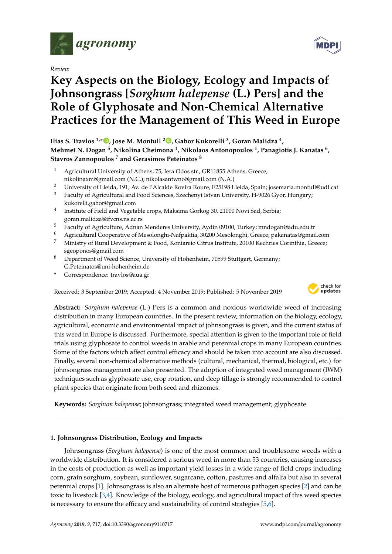

*Review*

# **Key Aspects on the Biology, Ecology and Impacts of Johnsongrass [***Sorghum halepense* **(L.) Pers] and the Role of Glyphosate and Non-Chemical Alternative Practices for the Management of This Weed in Europe**

**Ilias S. Travlos 1,\* [,](https://orcid.org/0000-0002-7713-0204) Jose M. Montull <sup>2</sup> [,](https://orcid.org/0000-0001-5668-2811) Gabor Kukorelli <sup>3</sup> , Goran Malidza <sup>4</sup> , Mehmet N. Dogan <sup>5</sup> , Nikolina Cheimona <sup>1</sup> , Nikolaos Antonopoulos <sup>1</sup> , Panagiotis J. Kanatas <sup>6</sup> , Stavros Zannopoulos <sup>7</sup> and Gerasimos Peteinatos <sup>8</sup>**

- Agricultural University of Athens, 75, Iera Odos str., GR11855 Athens, Greece; nikolinaxm@gmail.com (N.C.); nikolasantwno@gmail.com (N.A.)
- <sup>2</sup> University of Lleida, 191, Av. de l'Alcalde Rovira Roure, E25198 Lleida, Spain; josemaria.montull@udl.cat
- <sup>3</sup> Faculty of Agricultural and Food Sciences, Szechenyi Istvan University, H-9026 Gyor, Hungary; kukorelli.gabor@gmail.com
- 4 Institute of Field and Vegetable crops, Maksima Gorkog 30, 21000 Novi Sad, Serbia; goran.malidza@ifvcns.ns.ac.rs
- <sup>5</sup> Faculty of Agriculture, Adnan Menderes University, Aydin 09100, Turkey; mndogan@adu.edu.tr
- <sup>6</sup> Agricultural Cooperative of Mesolonghi-Nafpaktia, 30200 Mesolonghi, Greece; pakanatas@gmail.com
- <sup>7</sup> Ministry of Rural Development & Food, Koniareio Citrus Institute, 20100 Kechries Corinthia, Greece; sgeoponos@gmail.com
- <sup>8</sup> Department of Weed Science, University of Hohenheim, 70599 Stuttgart, Germany; G.Peteinatos@uni-hohenheim.de
- **\*** Correspondence: travlos@aua.gr

Received: 3 September 2019; Accepted: 4 November 2019; Published: 5 November 2019



**Abstract:** *Sorghum halepense* (L.) Pers is a common and noxious worldwide weed of increasing distribution in many European countries. In the present review, information on the biology, ecology, agricultural, economic and environmental impact of johnsongrass is given, and the current status of this weed in Europe is discussed. Furthermore, special attention is given to the important role of field trials using glyphosate to control weeds in arable and perennial crops in many European countries. Some of the factors which affect control efficacy and should be taken into account are also discussed. Finally, several non-chemical alternative methods (cultural, mechanical, thermal, biological, etc.) for johnsongrass management are also presented. The adoption of integrated weed management (IWM) techniques such as glyphosate use, crop rotation, and deep tillage is strongly recommended to control plant species that originate from both seed and rhizomes.

**Keywords:** *Sorghum halepense*; johnsongrass; integrated weed management; glyphosate

## **1. Johnsongrass Distribution, Ecology and Impacts**

Johnsongrass (*Sorghum halepense*) is one of the most common and troublesome weeds with a worldwide distribution. It is considered a serious weed in more than 53 countries, causing increases in the costs of production as well as important yield losses in a wide range of field crops including corn, grain sorghum, soybean, sunflower, sugarcane, cotton, pastures and alfalfa but also in several perennial crops [\[1\]](#page-6-0). Johnsongrass is also an alternate host of numerous pathogen species [\[2\]](#page-6-1) and can be toxic to livestock [\[3,](#page-6-2)[4\]](#page-6-3). Knowledge of the biology, ecology, and agricultural impact of this weed species is necessary to ensure the efficacy and sustainability of control strategies [\[5](#page-6-4)[,6\]](#page-6-5).

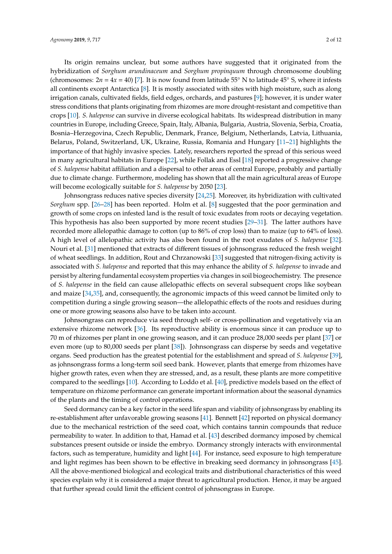Its origin remains unclear, but some authors have suggested that it originated from the hybridization of *Sorghum arundinaceum* and *Sorghum propinquum* through chromosome doubling (chromosomes:  $2n = 4x = 40$ ) [\[7\]](#page-6-6). It is now found from latitude 55<sup>°</sup> N to latitude 45<sup>°</sup> S, where it infests all continents except Antarctica [\[8\]](#page-6-7). It is mostly associated with sites with high moisture, such as along irrigation canals, cultivated fields, field edges, orchards, and pastures [\[9\]](#page-7-0); however, it is under water stress conditions that plants originating from rhizomes are more drought-resistant and competitive than crops [\[10\]](#page-7-1). *S. halepense* can survive in diverse ecological habitats. Its widespread distribution in many countries in Europe, including Greece, Spain, Italy, Albania, Bulgaria, Austria, Slovenia, Serbia, Croatia, Bosnia–Herzegovina, Czech Republic, Denmark, France, Belgium, Netherlands, Latvia, Lithuania, Belarus, Poland, Switzerland, UK, Ukraine, Russia, Romania and Hungary [\[11](#page-7-2)[–21\]](#page-7-3) highlights the importance of that highly invasive species. Lately, researchers reported the spread of this serious weed in many agricultural habitats in Europe [\[22\]](#page-7-4), while Follak and Essl [\[18\]](#page-7-5) reported a progressive change of *S. halepense* habitat affiliation and a dispersal to other areas of central Europe, probably and partially due to climate change. Furthermore, modeling has shown that all the main agricultural areas of Europe will become ecologically suitable for *S. halepense* by 2050 [\[23\]](#page-7-6).

Johnsongrass reduces native species diversity [\[24,](#page-7-7)[25\]](#page-7-8). Moreover, its hybridization with cultivated *Sorghum* spp. [\[26–](#page-7-9)[28\]](#page-7-10) has been reported. Holm et al. [\[8\]](#page-6-7) suggested that the poor germination and growth of some crops on infested land is the result of toxic exudates from roots or decaying vegetation. This hypothesis has also been supported by more recent studies [\[29–](#page-8-0)[31\]](#page-8-1). The latter authors have recorded more allelopathic damage to cotton (up to 86% of crop loss) than to maize (up to 64% of loss). A high level of allelopathic activity has also been found in the root exudates of *S. halepense* [\[32\]](#page-8-2). Nouri et al. [\[31\]](#page-8-1) mentioned that extracts of different tissues of johnsongrass reduced the fresh weight of wheat seedlings. In addition, Rout and Chrzanowski [\[33\]](#page-8-3) suggested that nitrogen-fixing activity is associated with *S. halepense* and reported that this may enhance the ability of *S. halepense* to invade and persist by altering fundamental ecosystem properties via changes in soil biogeochemistry. The presence of *S. halepense* in the field can cause allelopathic effects on several subsequent crops like soybean and maize [\[34](#page-8-4)[,35\]](#page-8-5), and, consequently, the agronomic impacts of this weed cannot be limited only to competition during a single growing season—the allelopathic effects of the roots and residues during one or more growing seasons also have to be taken into account.

Johnsongrass can reproduce via seed through self- or cross-pollination and vegetatively via an extensive rhizome network [\[36\]](#page-8-6). Its reproductive ability is enormous since it can produce up to 70 m of rhizomes per plant in one growing season, and it can produce 28,000 seeds per plant [\[37\]](#page-8-7) or even more (up to 80,000 seeds per plant [\[38\]](#page-8-8)). Johnsongrass can disperse by seeds and vegetative organs. Seed production has the greatest potential for the establishment and spread of *S. halepense* [\[39\]](#page-8-9), as johnsongrass forms a long-term soil seed bank. However, plants that emerge from rhizomes have higher growth rates, even when they are stressed, and, as a result, these plants are more competitive compared to the seedlings [\[10\]](#page-7-1). According to Loddo et al. [\[40\]](#page-8-10), predictive models based on the effect of temperature on rhizome performance can generate important information about the seasonal dynamics of the plants and the timing of control operations.

Seed dormancy can be a key factor in the seed life span and viability of johnsongrass by enabling its re-establishment after unfavorable growing seasons [\[41\]](#page-8-11). Bennett [\[42\]](#page-8-12) reported on physical dormancy due to the mechanical restriction of the seed coat, which contains tannin compounds that reduce permeability to water. In addition to that, Hamad et al. [\[43\]](#page-8-13) described dormancy imposed by chemical substances present outside or inside the embryo. Dormancy strongly interacts with environmental factors, such as temperature, humidity and light [\[44\]](#page-8-14). For instance, seed exposure to high temperature and light regimes has been shown to be effective in breaking seed dormancy in johnsongrass [\[45\]](#page-8-15). All the above-mentioned biological and ecological traits and distributional characteristics of this weed species explain why it is considered a major threat to agricultural production. Hence, it may be argued that further spread could limit the efficient control of johnsongrass in Europe.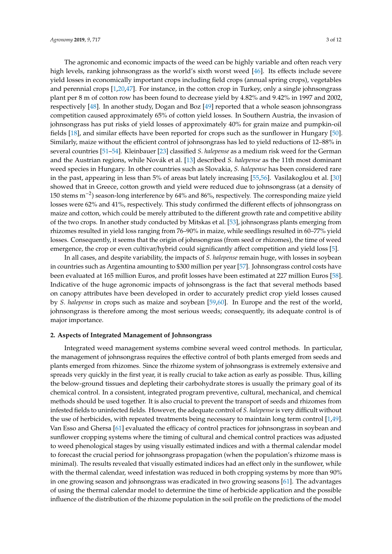The agronomic and economic impacts of the weed can be highly variable and often reach very high levels, ranking johnsongrass as the world's sixth worst weed [\[46\]](#page-8-16). Its effects include severe yield losses in economically important crops including field crops (annual spring crops), vegetables and perennial crops [\[1](#page-6-0)[,20](#page-7-11)[,47\]](#page-8-17). For instance, in the cotton crop in Turkey, only a single johnsongrass plant per 8 m of cotton row has been found to decrease yield by 4.82% and 9.42% in 1997 and 2002, respectively [\[48\]](#page-8-18). In another study, Dogan and Boz [\[49\]](#page-8-19) reported that a whole season johnsongrass competition caused approximately 65% of cotton yield losses. In Southern Austria, the invasion of johnsongrass has put risks of yield losses of approximately 40% for grain maize and pumpkin-oil fields [\[18\]](#page-7-5), and similar effects have been reported for crops such as the sunflower in Hungary [\[50\]](#page-8-20). Similarly, maize without the efficient control of johnsongrass has led to yield reductions of 12–88% in several countries [\[51](#page-8-21)[–54\]](#page-9-0). Kleinbauer [\[23\]](#page-7-6) classified *S. halepense* as a medium risk weed for the German and the Austrian regions, while Novák et al. [\[13\]](#page-7-12) described *S. halepense* as the 11th most dominant weed species in Hungary. In other countries such as Slovakia, *S. halepense* has been considered rare in the past, appearing in less than 5% of areas but lately increasing [\[55,](#page-9-1)[56\]](#page-9-2). Vasilakoglou et al. [\[30\]](#page-8-22) showed that in Greece, cotton growth and yield were reduced due to johnsongrass (at a density of 150 stems m−<sup>2</sup> ) season-long interference by 64% and 86%, respectively. The corresponding maize yield losses were 62% and 41%, respectively. This study confirmed the different effects of johnsongrass on maize and cotton, which could be merely attributed to the different growth rate and competitive ability of the two crops. In another study conducted by Mitskas et al. [\[53\]](#page-9-3), johnsongrass plants emerging from rhizomes resulted in yield loss ranging from 76–90% in maize, while seedlings resulted in 60–77% yield losses. Consequently, it seems that the origin of johnsongrass (from seed or rhizomes), the time of weed emergence, the crop or even cultivar/hybrid could significantly affect competition and yield loss [\[5\]](#page-6-4).

In all cases, and despite variability, the impacts of *S. halepense* remain huge, with losses in soybean in countries such as Argentina amounting to \$300 million per year [\[57\]](#page-9-4). Johnsongrass control costs have been evaluated at 165 million Euros, and profit losses have been estimated at 227 million Euros [\[58\]](#page-9-5). Indicative of the huge agronomic impacts of johnsongrass is the fact that several methods based on canopy attributes have been developed in order to accurately predict crop yield losses caused by *S. halepense* in crops such as maize and soybean [\[59,](#page-9-6)[60\]](#page-9-7). In Europe and the rest of the world, johnsongrass is therefore among the most serious weeds; consequently, its adequate control is of major importance.

#### **2. Aspects of Integrated Management of Johnsongrass**

Integrated weed management systems combine several weed control methods. In particular, the management of johnsongrass requires the effective control of both plants emerged from seeds and plants emerged from rhizomes. Since the rhizome system of johnsongrass is extremely extensive and spreads very quickly in the first year, it is really crucial to take action as early as possible. Thus, killing the below-ground tissues and depleting their carbohydrate stores is usually the primary goal of its chemical control. In a consistent, integrated program preventive, cultural, mechanical, and chemical methods should be used together. It is also crucial to prevent the transport of seeds and rhizomes from infested fields to uninfected fields. However, the adequate control of *S. halepense*is very difficult without the use of herbicides, with repeated treatments being necessary to maintain long term control [\[1,](#page-6-0)[49\]](#page-8-19). Van Esso and Ghersa [\[61\]](#page-9-8) evaluated the efficacy of control practices for johnsongrass in soybean and sunflower cropping systems where the timing of cultural and chemical control practices was adjusted to weed phenological stages by using visually estimated indices and with a thermal calendar model to forecast the crucial period for johnsongrass propagation (when the population's rhizome mass is minimal). The results revealed that visually estimated indices had an effect only in the sunflower, while with the thermal calendar, weed infestation was reduced in both cropping systems by more than 90% in one growing season and johnsongrass was eradicated in two growing seasons [\[61\]](#page-9-8). The advantages of using the thermal calendar model to determine the time of herbicide application and the possible influence of the distribution of the rhizome population in the soil profile on the predictions of the model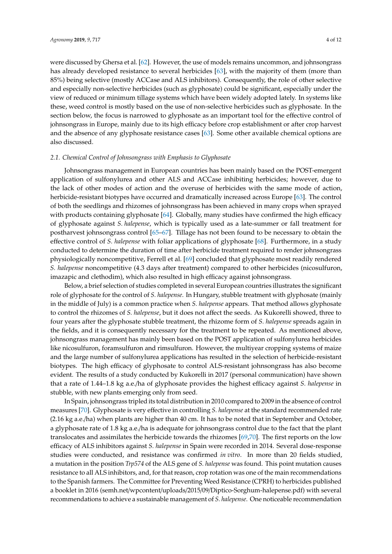were discussed by Ghersa et al. [\[62\]](#page-9-9). However, the use of models remains uncommon, and johnsongrass has already developed resistance to several herbicides [\[63\]](#page-9-10), with the majority of them (more than 85%) being selective (mostly ACCase and ALS inhibitors). Consequently, the role of other selective and especially non-selective herbicides (such as glyphosate) could be significant, especially under the view of reduced or minimum tillage systems which have been widely adopted lately. In systems like these, weed control is mostly based on the use of non-selective herbicides such as glyphosate. In the section below, the focus is narrowed to glyphosate as an important tool for the effective control of johnsongrass in Europe, mainly due to its high efficacy before crop establishment or after crop harvest and the absence of any glyphosate resistance cases [\[63\]](#page-9-10). Some other available chemical options are also discussed.

#### *2.1. Chemical Control of Johnsongrass with Emphasis to Glyphosate*

Johnsongrass management in European countries has been mainly based on the POST-emergent application of sulfonylurea and other ALS and ACCase inhibiting herbicides; however, due to the lack of other modes of action and the overuse of herbicides with the same mode of action, herbicide-resistant biotypes have occurred and dramatically increased across Europe [\[63\]](#page-9-10). The control of both the seedlings and rhizomes of johnsongrass has been achieved in many crops when sprayed with products containing glyphosate [\[64\]](#page-9-11). Globally, many studies have confirmed the high efficacy of glyphosate against *S. halepense*, which is typically used as a late-summer or fall treatment for postharvest johnsongrass control [\[65](#page-9-12)[–67\]](#page-9-13). Tillage has not been found to be necessary to obtain the effective control of *S. halepense* with foliar applications of glyphosate [\[68\]](#page-9-14). Furthermore, in a study conducted to determine the duration of time after herbicide treatment required to render johnsongrass physiologically noncompetitive, Ferrell et al. [\[69\]](#page-9-15) concluded that glyphosate most readily rendered *S. halepense* noncompetitive (4.3 days after treatment) compared to other herbicides (nicosulfuron, imazapic and clethodim), which also resulted in high efficacy against johnsongrass.

Below, a brief selection of studies completed in several European countries illustrates the significant role of glyphosate for the control of *S. halepense*. In Hungary, stubble treatment with glyphosate (mainly in the middle of July) is a common practice when *S. halepense* appears. That method allows glyphosate to control the rhizomes of *S. halepense*, but it does not affect the seeds. As Kukorelli showed, three to four years after the glyphosate stubble treatment, the rhizome form of *S. halepense* spreads again in the fields, and it is consequently necessary for the treatment to be repeated. As mentioned above, johnsongrass management has mainly been based on the POST application of sulfonylurea herbicides like nicosulfuron, foramsulfuron and rimsulfuron. However, the multiyear cropping systems of maize and the large number of sulfonylurea applications has resulted in the selection of herbicide-resistant biotypes. The high efficacy of glyphosate to control ALS-resistant johnsongrass has also become evident. The results of a study conducted by Kukorelli in 2017 (personal communication) have shown that a rate of 1.44–1.8 kg a.e./ha of glyphosate provides the highest efficacy against *S. halepense* in stubble, with new plants emerging only from seed.

In Spain, johnsongrass tripled its total distribution in 2010 compared to 2009 in the absence of control measures [\[70\]](#page-9-16). Glyphosate is very effective in controlling *S. halepense* at the standard recommended rate (2.16 kg a.e./ha) when plants are higher than 40 cm. It has to be noted that in September and October, a glyphosate rate of 1.8 kg a.e./ha is adequate for johnsongrass control due to the fact that the plant translocates and assimilates the herbicide towards the rhizomes [\[69,](#page-9-15)[70\]](#page-9-16). The first reports on the low efficacy of ALS inhibitors against *S. halepense* in Spain were recorded in 2014. Several dose-response studies were conducted, and resistance was confirmed *in vitro*. In more than 20 fields studied, a mutation in the position *Trp574* of the ALS gene of *S. halepense* was found. This point mutation causes resistance to all ALS inhibitors, and, for that reason, crop rotation was one of the main recommendations to the Spanish farmers. The Committee for Preventing Weed Resistance (CPRH) to herbicides published a booklet in 2016 (semh.net/wpcontent/uploads/2015/09/Diptico-Sorghum-halepense.pdf) with several recommendations to achieve a sustainable management of *S. halepense*. One noticeable recommendation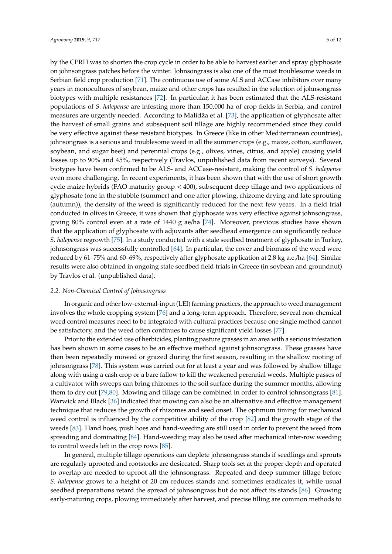by the CPRH was to shorten the crop cycle in order to be able to harvest earlier and spray glyphosate on johnsongrass patches before the winter. Johnsongrass is also one of the most troublesome weeds in Serbian field crop production [\[71\]](#page-9-17). The continuous use of some ALS and ACCase inhibitors over many years in monocultures of soybean, maize and other crops has resulted in the selection of johnsongrass biotypes with multiple resistances [\[72\]](#page-9-18). In particular, it has been estimated that the ALS-resistant populations of *S. halepense* are infesting more than 150,000 ha of crop fields in Serbia, and control measures are urgently needed. According to Malidža et al. [\[73\]](#page-9-19), the application of glyphosate after the harvest of small grains and subsequent soil tillage are highly recommended since they could be very effective against these resistant biotypes. In Greece (like in other Mediterranean countries), johnsongrass is a serious and troublesome weed in all the summer crops (e.g., maize, cotton, sunflower, soybean, and sugar beet) and perennial crops (e.g., olives, vines, citrus, and apple) causing yield losses up to 90% and 45%, respectively (Travlos, unpublished data from recent surveys). Several biotypes have been confirmed to be ALS- and ACCase-resistant, making the control of *S. halepense* even more challenging. In recent experiments, it has been shown that with the use of short growth cycle maize hybrids (FAO maturity group < 400), subsequent deep tillage and two applications of glyphosate (one in the stubble (summer) and one after plowing, rhizome drying and late sprouting (autumn)), the density of the weed is significantly reduced for the next few years. In a field trial conducted in olives in Greece, it was shown that glyphosate was very effective against johnsongrass, giving 80% control even at a rate of 1440 g ae/ha [\[74\]](#page-9-20). Moreover, previous studies have shown that the application of glyphosate with adjuvants after seedhead emergence can significantly reduce *S. halepense* regrowth [\[75\]](#page-10-0). In a study conducted with a stale seedbed treatment of glyphosate in Turkey, johnsongrass was successfully controlled [\[64\]](#page-9-11). In particular, the cover and biomass of the weed were reduced by 61–75% and 60–69%, respectively after glyphosate application at 2.8 kg a.e./ha [\[64\]](#page-9-11). Similar results were also obtained in ongoing stale seedbed field trials in Greece (in soybean and groundnut) by Travlos et al. (unpublished data).

#### *2.2. Non-Chemical Control of Johnsongrass*

In organic and other low-external-input (LEI) farming practices, the approach to weed management involves the whole cropping system [\[76\]](#page-10-1) and a long-term approach. Therefore, several non-chemical weed control measures need to be integrated with cultural practices because one single method cannot be satisfactory, and the weed often continues to cause significant yield losses [\[77\]](#page-10-2).

Prior to the extended use of herbicides, planting pasture grasses in an area with a serious infestation has been shown in some cases to be an effective method against johnsongrass. These grasses have then been repeatedly mowed or grazed during the first season, resulting in the shallow rooting of johnsongrass [\[78\]](#page-10-3). This system was carried out for at least a year and was followed by shallow tillage along with using a cash crop or a bare fallow to kill the weakened perennial weeds. Multiple passes of a cultivator with sweeps can bring rhizomes to the soil surface during the summer months, allowing them to dry out [\[79](#page-10-4)[,80\]](#page-10-5). Mowing and tillage can be combined in order to control johnsongrass [\[81\]](#page-10-6). Warwick and Black [\[36\]](#page-8-6) indicated that mowing can also be an alternative and effective management technique that reduces the growth of rhizomes and seed onset. The optimum timing for mechanical weed control is influenced by the competitive ability of the crop [\[82\]](#page-10-7) and the growth stage of the weeds [\[83\]](#page-10-8). Hand hoes, push hoes and hand-weeding are still used in order to prevent the weed from spreading and dominating [\[84\]](#page-10-9). Hand-weeding may also be used after mechanical inter-row weeding to control weeds left in the crop rows [\[85\]](#page-10-10).

In general, multiple tillage operations can deplete johnsongrass stands if seedlings and sprouts are regularly uprooted and rootstocks are desiccated. Sharp tools set at the proper depth and operated to overlap are needed to uproot all the johnsongrass. Repeated and deep summer tillage before *S. halepense* grows to a height of 20 cm reduces stands and sometimes eradicates it, while usual seedbed preparations retard the spread of johnsongrass but do not affect its stands [\[86\]](#page-10-11). Growing early-maturing crops, plowing immediately after harvest, and precise tilling are common methods to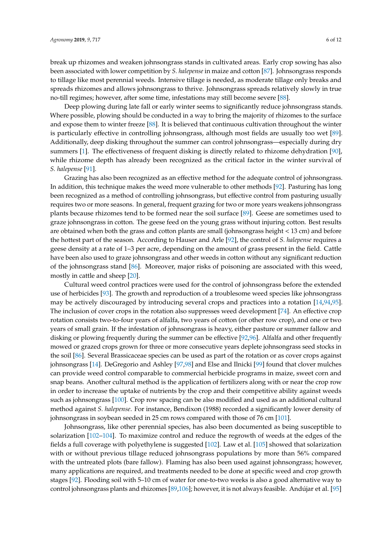break up rhizomes and weaken johnsongrass stands in cultivated areas. Early crop sowing has also been associated with lower competition by *S. halepense* in maize and cotton [\[87\]](#page-10-12). Johnsongrass responds to tillage like most perennial weeds. Intensive tillage is needed, as moderate tillage only breaks and spreads rhizomes and allows johnsongrass to thrive. Johnsongrass spreads relatively slowly in true no-till regimes; however, after some time, infestations may still become severe [\[88\]](#page-10-13).

Deep plowing during late fall or early winter seems to significantly reduce johnsongrass stands. Where possible, plowing should be conducted in a way to bring the majority of rhizomes to the surface and expose them to winter freeze [\[88\]](#page-10-13). It is believed that continuous cultivation throughout the winter is particularly effective in controlling johnsongrass, although most fields are usually too wet [\[89\]](#page-10-14). Additionally, deep disking throughout the summer can control johnsongrass—especially during dry summers [\[1\]](#page-6-0). The effectiveness of frequent disking is directly related to rhizome dehydration [\[90\]](#page-10-15), while rhizome depth has already been recognized as the critical factor in the winter survival of *S. halepense* [\[91\]](#page-10-16).

Grazing has also been recognized as an effective method for the adequate control of johnsongrass. In addition, this technique makes the weed more vulnerable to other methods [\[92\]](#page-10-17). Pasturing has long been recognized as a method of controlling johnsongrass, but effective control from pasturing usually requires two or more seasons. In general, frequent grazing for two or more years weakens johnsongrass plants because rhizomes tend to be formed near the soil surface [\[89\]](#page-10-14). Geese are sometimes used to graze johnsongrass in cotton. The geese feed on the young grass without injuring cotton. Best results are obtained when both the grass and cotton plants are small (johnsongrass height < 13 cm) and before the hottest part of the season. According to Hauser and Arle [\[92\]](#page-10-17), the control of *S. halepense* requires a geese density at a rate of 1–3 per acre, depending on the amount of grass present in the field. Cattle have been also used to graze johnsongrass and other weeds in cotton without any significant reduction of the johnsongrass stand [\[86\]](#page-10-11). Moreover, major risks of poisoning are associated with this weed, mostly in cattle and sheep [\[20\]](#page-7-11).

Cultural weed control practices were used for the control of johnsongrass before the extended use of herbicides [\[93\]](#page-10-18). The growth and reproduction of a troublesome weed species like johnsongrass may be actively discouraged by introducing several crops and practices into a rotation [\[14,](#page-7-13)[94,](#page-10-19)[95\]](#page-10-20). The inclusion of cover crops in the rotation also suppresses weed development [\[74\]](#page-9-20). An effective crop rotation consists two-to-four years of alfalfa, two years of cotton (or other row crop), and one or two years of small grain. If the infestation of johnsongrass is heavy, either pasture or summer fallow and disking or plowing frequently during the summer can be effective [\[92,](#page-10-17)[96\]](#page-10-21). Alfalfa and other frequently mowed or grazed crops grown for three or more consecutive years deplete johnsongrass seed stocks in the soil [\[86\]](#page-10-11). Several Brassicaceae species can be used as part of the rotation or as cover crops against johnsongrass [\[14\]](#page-7-13). DeGregorio and Ashley [\[97](#page-10-22)[,98\]](#page-10-23) and Else and Ilnicki [\[99\]](#page-10-24) found that clover mulches can provide weed control comparable to commercial herbicide programs in maize, sweet corn and snap beans. Another cultural method is the application of fertilizers along with or near the crop row in order to increase the uptake of nutrients by the crop and their competitive ability against weeds such as johnsongrass [\[100\]](#page-10-25). Crop row spacing can be also modified and used as an additional cultural method against *S. halepense*. For instance, Bendixon (1988) recorded a significantly lower density of johnsongrass in soybean seeded in 25 cm rows compared with those of 76 cm [\[101\]](#page-11-0).

Johnsongrass, like other perennial species, has also been documented as being susceptible to solarization [\[102–](#page-11-1)[104\]](#page-11-2). To maximize control and reduce the regrowth of weeds at the edges of the fields a full coverage with polyethylene is suggested [\[102\]](#page-11-1). Law et al. [\[105\]](#page-11-3) showed that solarization with or without previous tillage reduced johnsongrass populations by more than 56% compared with the untreated plots (bare fallow). Flaming has also been used against johnsongrass; however, many applications are required, and treatments needed to be done at specific weed and crop growth stages [\[92\]](#page-10-17). Flooding soil with 5–10 cm of water for one-to-two weeks is also a good alternative way to control johnsongrass plants and rhizomes [\[89,](#page-10-14)[106\]](#page-11-4); however, it is not always feasible. Andújar et al. [\[95\]](#page-10-20)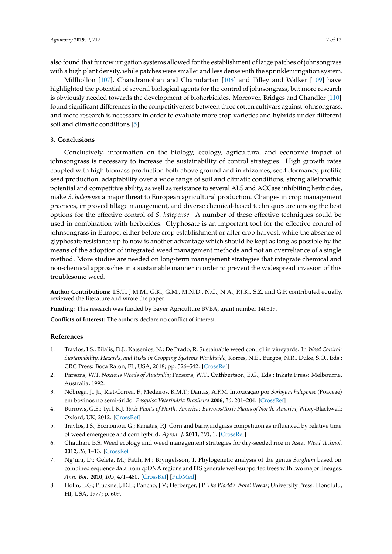also found that furrow irrigation systems allowed for the establishment of large patches of johnsongrass with a high plant density, while patches were smaller and less dense with the sprinkler irrigation system.

Millhollon [\[107\]](#page-11-5), Chandramohan and Charudattan [\[108\]](#page-11-6) and Tilley and Walker [\[109\]](#page-11-7) have highlighted the potential of several biological agents for the control of johnsongrass, but more research is obviously needed towards the development of bioherbicides. Moreover, Bridges and Chandler [\[110\]](#page-11-8) found significant differences in the competitiveness between three cotton cultivars against johnsongrass, and more research is necessary in order to evaluate more crop varieties and hybrids under different soil and climatic conditions [\[5\]](#page-6-4).

### **3. Conclusions**

Conclusively, information on the biology, ecology, agricultural and economic impact of johnsongrass is necessary to increase the sustainability of control strategies. High growth rates coupled with high biomass production both above ground and in rhizomes, seed dormancy, prolific seed production, adaptability over a wide range of soil and climatic conditions, strong allelopathic potential and competitive ability, as well as resistance to several ALS and ACCase inhibiting herbicides, make *S. halepense* a major threat to European agricultural production. Changes in crop management practices, improved tillage management, and diverse chemical-based techniques are among the best options for the effective control of *S. halepense*. A number of these effective techniques could be used in combination with herbicides. Glyphosate is an important tool for the effective control of johnsongrass in Europe, either before crop establishment or after crop harvest, while the absence of glyphosate resistance up to now is another advantage which should be kept as long as possible by the means of the adoption of integrated weed management methods and not an overreliance of a single method. More studies are needed on long-term management strategies that integrate chemical and non-chemical approaches in a sustainable manner in order to prevent the widespread invasion of this troublesome weed.

**Author Contributions:** I.S.T., J.M.M., G.K., G.M., M.N.D., N.C., N.A., P.J.K., S.Z. and G.P. contributed equally, reviewed the literature and wrote the paper.

**Funding:** This research was funded by Bayer Agriculture BVBA, grant number 140319.

**Conflicts of Interest:** The authors declare no conflict of interest.

#### **References**

- <span id="page-6-0"></span>1. Travlos, I.S.; Bilalis, D.J.; Katsenios, N.; De Prado, R. Sustainable weed control in vineyards. In *Weed Control: Sustainability, Hazards, and Risks in Cropping Systems Worldwide*; Korres, N.E., Burgos, N.R., Duke, S.O., Eds.; CRC Press: Boca Raton, FL, USA, 2018; pp. 526–542. [\[CrossRef\]](http://dx.doi.org/10.1201/9781315155913)
- <span id="page-6-1"></span>2. Parsons, W.T. *Noxious Weeds of Australia*; Parsons, W.T., Cuthbertson, E.G., Eds.; Inkata Press: Melbourne, Australia, 1992.
- <span id="page-6-2"></span>3. Nóbrega, J., Jr.; Riet-Correa, F.; Medeiros, R.M.T.; Dantas, A.F.M. Intoxicação por *Sorhgum halepense* (Poaceae) em bovinos no semi-árido. *Pesquisa Veterinária Brasileira* **2006**, *26*, 201–204. [\[CrossRef\]](http://dx.doi.org/10.1590/S0100-736X2006000400003)
- <span id="page-6-3"></span>4. Burrows, G.E.; Tyrl, R.J. *Toxic Plants of North. America: Burrows*/*Toxic Plants of North. America*; Wiley-Blackwell: Oxford, UK, 2012. [\[CrossRef\]](http://dx.doi.org/10.1002/9781118413425)
- <span id="page-6-4"></span>5. Travlos, I.S.; Economou, G.; Kanatas, P.J. Corn and barnyardgrass competition as influenced by relative time of weed emergence and corn hybrid. *Agron. J.* **2011**, *103*, 1. [\[CrossRef\]](http://dx.doi.org/10.2134/agronj2010.0245)
- <span id="page-6-5"></span>6. Chauhan, B.S. Weed ecology and weed management strategies for dry-seeded rice in Asia. *Weed Technol.* **2012**, *26*, 1–13. [\[CrossRef\]](http://dx.doi.org/10.1614/WT-D-11-00105.1)
- <span id="page-6-6"></span>7. Ng'uni, D.; Geleta, M.; Fatih, M.; Bryngelsson, T. Phylogenetic analysis of the genus *Sorghum* based on combined sequence data from cpDNA regions and ITS generate well-supported trees with two major lineages. *Ann. Bot.* **2010**, *105*, 471–480. [\[CrossRef\]](http://dx.doi.org/10.1093/aob/mcp305) [\[PubMed\]](http://www.ncbi.nlm.nih.gov/pubmed/20061309)
- <span id="page-6-7"></span>8. Holm, L.G.; Plucknett, D.L.; Pancho, J.V.; Herberger, J.P. *The World's Worst Weeds*; University Press: Honolulu, HI, USA, 1977; p. 609.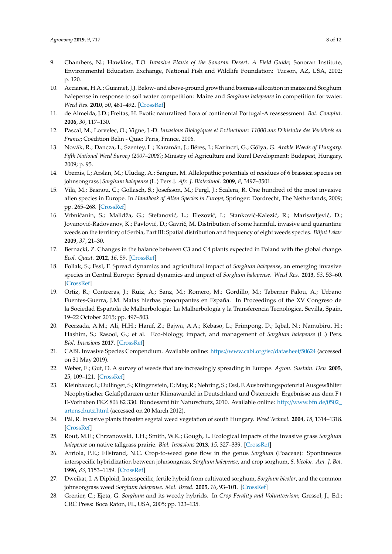- <span id="page-7-0"></span>9. Chambers, N.; Hawkins, T.O. *Invasive Plants of the Sonoran Desert, A Field Guide*; Sonoran Institute, Environmental Education Exchange, National Fish and Wildlife Foundation: Tucson, AZ, USA, 2002; p. 120.
- <span id="page-7-1"></span>10. Acciaresi, H.A.; Guiamet, J.J. Below- and above-ground growth and biomass allocation in maize and Sorghum halepense in response to soil water competition: Maize and *Sorghum halepense* in competition for water. *Weed Res.* **2010**, *50*, 481–492. [\[CrossRef\]](http://dx.doi.org/10.1111/j.1365-3180.2010.00794.x)
- <span id="page-7-2"></span>11. de Almeida, J.D.; Freitas, H. Exotic naturalized flora of continental Portugal-A reassessment. *Bot. Complut.* **2006**, *30*, 117–130.
- 12. Pascal, M.; Lorvelec, O.; Vigne, J.-D. *Invasions Biologiques et Extinctions: 11000 ans D'histoire des Vertébrés en France*; Coédition Belin - Quæ: Paris, France, 2006.
- <span id="page-7-12"></span>13. Novák, R.; Dancza, I.; Szentey, L.; Karamán, J.; Béres, I.; Kazinczi, G.; Gólya, G. *Arable Weeds of Hungary. Fifth National Weed Survey (2007–2008)*; Ministry of Agriculture and Rural Development: Budapest, Hungary, 2009; p. 95.
- <span id="page-7-13"></span>14. Uremis, I.; Arslan, M.; Uludag, A.; Sangun, M. Allelopathic potentials of residues of 6 brassica species on johnsongrass [*Sorghum halepense* (L.) Pers.]. *Afr. J. Biotechnol.* **2009**, *8*, 3497–3501.
- 15. Vilà, M.; Basnou, C.; Gollasch, S.; Josefsson, M.; Pergl, J.; Scalera, R. One hundred of the most invasive alien species in Europe. In *Handbook of Alien Species in Europe*; Springer: Dordrecht, The Netherlands, 2009; pp. 265–268. [\[CrossRef\]](http://dx.doi.org/10.1007/978-1-4020-8280-1_12)
- 16. Vrbničanin, S.; Malidža, G.; Stefanović, L.; Elezović, I.; Stanković-Kalezić, R.; Marisavljević, D.; Jovanović-Radovanov, K.; Pavlović, D.; Gavrić, M. Distribution of some harmful, invasive and quarantine weeds on the territory of Serbia, Part III: Spatial distribution and frequency of eight weeds species. *Biljni Lekar* **2009**, *37*, 21–30.
- 17. Bernacki, Z. Changes in the balance between C3 and C4 plants expected in Poland with the global change. *Ecol. Quest.* **2012**, *16*, 59. [\[CrossRef\]](http://dx.doi.org/10.12775/v10090-012-0006-2)
- <span id="page-7-5"></span>18. Follak, S.; Essl, F. Spread dynamics and agricultural impact of *Sorghum halepense*, an emerging invasive species in Central Europe: Spread dynamics and impact of *Sorghum halepense*. *Weed Res.* **2013**, *53*, 53–60. [\[CrossRef\]](http://dx.doi.org/10.1111/j.1365-3180.2012.00952.x)
- 19. Ortiz, R.; Contreras, J.; Ruiz, A.; Sanz, M.; Romero, M.; Gordillo, M.; Taberner Palou, A.; Urbano Fuentes-Guerra, J.M. Malas hierbas preocupantes en España. In Proceedings of the XV Congreso de la Sociedad Española de Malherbología: La Malherbología y la Transferencia Tecnológica, Sevilla, Spain, 19–22 October 2015; pp. 497–503.
- <span id="page-7-11"></span>20. Peerzada, A.M.; Ali, H.H.; Hanif, Z.; Bajwa, A.A.; Kebaso, L.; Frimpong, D.; Iqbal, N.; Namubiru, H.; Hashim, S.; Rasool, G.; et al. Eco-biology, impact, and management of *Sorghum halepense* (L.) Pers. *Biol. Invasions* **2017**. [\[CrossRef\]](http://dx.doi.org/10.1007/s10530-017-1410-8)
- <span id="page-7-3"></span>21. CABI. Invasive Species Compendium. Available online: https://[www.cabi.org](https://www.cabi.org/isc/datasheet/50624)/isc/datasheet/50624 (accessed on 31 May 2019).
- <span id="page-7-4"></span>22. Weber, E.; Gut, D. A survey of weeds that are increasingly spreading in Europe. *Agron. Sustain. Dev.* **2005**, *25*, 109–121. [\[CrossRef\]](http://dx.doi.org/10.1051/agro:2004061)
- <span id="page-7-6"></span>23. Kleinbauer, I.; Dullinger, S.; Klingenstein, F.; May, R.; Nehring, S.; Essl, F. Ausbreitungspotenzial Ausgewählter Neophytischer Gefäßpflanzen unter Klimawandel in Deutschland und Österreich: Ergebnisse aus dem F+ E-Vorhaben FKZ 806 82 330. Bundesamt für Naturschutz, 2010. Available online: http://[www.bfn.de](http://www.bfn.de/0502_artenschutz.html)/0502\_ [artenschutz.html](http://www.bfn.de/0502_artenschutz.html) (accessed on 20 March 2012).
- <span id="page-7-7"></span>24. Pál, R. Invasive plants threaten segetal weed vegetation of south Hungary. *Weed Technol.* **2004**, *18*, 1314–1318. [\[CrossRef\]](http://dx.doi.org/10.1614/0890-037X(2004)018[1314:IPTSWV]2.0.CO;2)
- <span id="page-7-8"></span>25. Rout, M.E.; Chrzanowski, T.H.; Smith, W.K.; Gough, L. Ecological impacts of the invasive grass *Sorghum halepense* on native tallgrass prairie. *Biol. Invasions* **2013**, *15*, 327–339. [\[CrossRef\]](http://dx.doi.org/10.1007/s10530-012-0289-7)
- <span id="page-7-9"></span>26. Arriola, P.E.; Ellstrand, N.C. Crop-to-weed gene flow in the genus *Sorghum* (Poaceae): Spontaneous interspecific hybridization between johnsongrass, *Sorghum halepense*, and crop sorghum, *S. bicolor*. *Am. J. Bot.* **1996**, *83*, 1153–1159. [\[CrossRef\]](http://dx.doi.org/10.1002/j.1537-2197.1996.tb13895.x)
- 27. Dweikat, I. A Diploid, Interspecific, fertile hybrid from cultivated sorghum, *Sorghum bicolor*, and the common johnsongrass weed *Sorghum halepense*. *Mol. Breed.* **2005**, *16*, 93–101. [\[CrossRef\]](http://dx.doi.org/10.1007/s11032-005-5021-1)
- <span id="page-7-10"></span>28. Grenier, C.; Ejeta, G. *Sorghum* and its weedy hybrids. In *Crop Ferality and Volunteerism*; Gressel, J., Ed.; CRC Press: Boca Raton, FL, USA, 2005; pp. 123–135.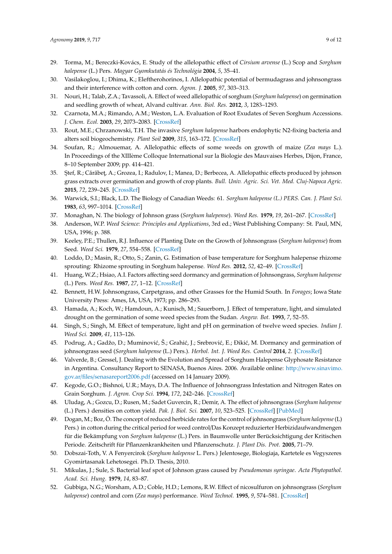- <span id="page-8-0"></span>29. Torma, M.; Bereczki-Kovács, E. Study of the allelopathic effect of *Cirsium arvense* (L.) Scop and *Sorghum halepense* (L.) Pers. *Magyar Gyomkutatás és Technológia* **2004**, *5*, 35–41.
- <span id="page-8-22"></span>30. Vasilakoglou, I.; Dhima, K.; Eleftherohorinos, I. Allelopathic potential of bermudagrass and johnsongrass and their interference with cotton and corn. *Agron. J.* **2005**, *97*, 303–313.
- <span id="page-8-1"></span>31. Nouri, H.; Talab, Z.A.; Tavassoli, A. Effect of weed allelopathic of sorghum (*Sorghum halepense*) on germination and seedling growth of wheat, Alvand cultivar. *Ann. Biol. Res.* **2012**, *3*, 1283–1293.
- <span id="page-8-2"></span>32. Czarnota, M.A.; Rimando, A.M.; Weston, L.A. Evaluation of Root Exudates of Seven Sorghum Accessions. *J. Chem. Ecol.* **2003**, *29*, 2073–2083. [\[CrossRef\]](http://dx.doi.org/10.1023/A:1025634402071)
- <span id="page-8-3"></span>33. Rout, M.E.; Chrzanowski, T.H. The invasive *Sorghum halepense* harbors endophytic N2-fixing bacteria and alters soil biogeochemistry. *Plant Soil* **2009**, *315*, 163–172. [\[CrossRef\]](http://dx.doi.org/10.1007/s11104-008-9740-z)
- <span id="page-8-4"></span>34. Soufan, R.; Almouemar, A. Allelopathic effects of some weeds on growth of maize (*Zea mays* L.). In Proceedings of the XIIIème Colloque International sur la Biologie des Mauvaises Herbes, Dijon, France, 8–10 September 2009; pp. 414–421.
- <span id="page-8-5"></span>35. Stef, R.; Cărăbeț, A.; Grozea, I.; Radulov, I.; Manea, D.; Berbecea, A. Allelopathic effects produced by johnson grass extracts over germination and growth of crop plants. *Bull. Univ. Agric. Sci. Vet. Med. Cluj-Napoca Agric.* **2015**, *72*, 239–245. [\[CrossRef\]](http://dx.doi.org/10.15835/buasvmcn-agr:11180)
- <span id="page-8-6"></span>36. Warwick, S.I.; Black, L.D. The Biology of Canadian Weeds: 61. *Sorghum halepense (L.) PERS. Can. J. Plant Sci.* **1983**, *63*, 997–1014. [\[CrossRef\]](http://dx.doi.org/10.4141/cjps83-125)
- <span id="page-8-8"></span><span id="page-8-7"></span>37. Monaghan, N. The biology of Johnson grass (*Sorghum halepense*). *Weed Res.* **1979**, *19*, 261–267. [\[CrossRef\]](http://dx.doi.org/10.1111/j.1365-3180.1979.tb01536.x)
- 38. Anderson, W.P. *Weed Science: Principles and Applications*, 3rd ed.; West Publishing Company: St. Paul, MN, USA, 1996; p. 388.
- <span id="page-8-9"></span>39. Keeley, P.E.; Thullen, R.J. Influence of Planting Date on the Growth of Johnsongrass (*Sorghum halepense*) from Seed. *Weed Sci.* **1979**, *27*, 554–558. [\[CrossRef\]](http://dx.doi.org/10.1017/S0043174500044593)
- <span id="page-8-10"></span>40. Loddo, D.; Masin, R.; Otto, S.; Zanin, G. Estimation of base temperature for Sorghum halepense rhizome sprouting: Rhizome sprouting in Sorghum halepense. *Weed Res.* **2012**, *52*, 42–49. [\[CrossRef\]](http://dx.doi.org/10.1111/j.1365-3180.2011.00886.x)
- <span id="page-8-11"></span>41. Huang, W.Z.; Hsiao, A.I. Factors affecting seed dormancy and germination of Johnsongrass, *Sorghum halepense* (L.) Pers. *Weed Res.* **1987**, *27*, 1–12. [\[CrossRef\]](http://dx.doi.org/10.1111/j.1365-3180.1987.tb00730.x)
- <span id="page-8-12"></span>42. Bennett, H.W. Johnsongrass, Carpetgrass, and other Grasses for the Humid South. In *Forages*; Iowa State University Press: Ames, IA, USA, 1973; pp. 286–293.
- <span id="page-8-13"></span>43. Hamada, A.; Koch, W.; Hamdoun, A.; Kunisch, M.; Sauerborn, J. Effect of temperature, light, and simulated drought on the germination of some weed species from the Sudan. *Angew. Bot.* **1993**, *7*, 52–55.
- <span id="page-8-14"></span>44. Singh, S.; Singh, M. Effect of temperature, light and pH on germination of twelve weed species. *Indian J. Weed Sci.* **2009**, *41*, 113–126.
- <span id="page-8-15"></span>45. Podrug, A.; Gadžo, D.; Muminović, Š.; Grahić, J.; Srebrović, E.; Đikić, M. Dormancy and germination of johnsongrass seed (*Sorghum halepense* (L.) Pers.). *Herbol. Int. J. Weed Res. Control* **2014**, *2*. [\[CrossRef\]](http://dx.doi.org/10.5644/Herb.14.2.01)
- <span id="page-8-16"></span>46. Valverde, B.; Gressel, J. Dealing with the Evolution and Spread of Sorghum Halepense Glyphosate Resistance in Argentina. Consultancy Report to SENASA, Buenos Aires. 2006. Available online: http://[www.sinavimo.](http://www.sinavimo.gov.ar/files/senasareport2006.pdf) gov.ar/files/[senasareport2006.pdf](http://www.sinavimo.gov.ar/files/senasareport2006.pdf) (accessed on 14 January 2009).
- <span id="page-8-17"></span>47. Kegode, G.O.; Bishnoi, U.R.; Mays, D.A. The Influence of Johnsongrass Infestation and Nitrogen Rates on Grain Sorghum. *J. Agron. Crop Sci.* **1994**, *172*, 242–246. [\[CrossRef\]](http://dx.doi.org/10.1111/j.1439-037X.1994.tb00174.x)
- <span id="page-8-18"></span>48. Uludag, A.; Gozcu, D.; Rusen, M.; Sadet Guvercin, R.; Demir, A. The effect of johnsongrass (*Sorghum halepense* (L.) Pers.) densities on cotton yield. *Pak. J. Biol. Sci.* **2007**, *10*, 523–525. [\[CrossRef\]](http://dx.doi.org/10.3923/pjbs.2007.523.525) [\[PubMed\]](http://www.ncbi.nlm.nih.gov/pubmed/19069529)
- <span id="page-8-19"></span>49. Dogan, M.; Boz, Ö. The concept of reduced herbicide rates for the control of johnsongrass (*Sorghum halepense*(L) Pers.) in cotton during the critical period for weed control/Das Konzept reduzierter Herbizidaufwandmengen für die Bekämpfung von *Sorghum halepense* (L.) Pers. in Baumwolle unter Berücksichtigung der Kritischen Periode. Zeitschrift für Pflanzenkrankheiten und Pflanzenschutz. *J. Plant Dis. Prot.* **2005**, 71–79.
- <span id="page-8-20"></span>50. Dobszai-Toth, V. A Fenyercirok (*Sorghum halepense* L. Pers.) Jelentosege, Biologiaja, Kartetele es Vegyszeres Gyomirtasanak Lehetosegei. Ph.D. Thesis, 2010.
- <span id="page-8-21"></span>51. Mikulas, J.; Sule, S. Bacterial leaf spot of Johnson grass caused by *Pseudomonas syringae*. *Acta Phytopathol. Acad. Sci. Hung.* **1979**, *14*, 83–87.
- 52. Gubbiga, N.G.; Worsham, A.D.; Coble, H.D.; Lemons, R.W. Effect of nicosulfuron on johnsongrass (*Sorghum halepense*) control and corn (*Zea mays*) performance. *Weed Technol.* **1995**, *9*, 574–581. [\[CrossRef\]](http://dx.doi.org/10.1017/S0890037X00023873)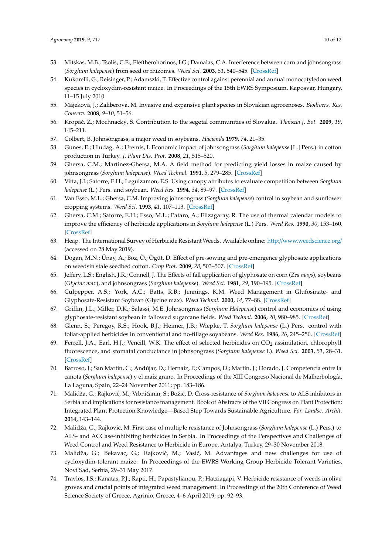- <span id="page-9-3"></span>53. Mitskas, M.B.; Tsolis, C.E.; Eleftherohorinos, I.G.; Damalas, C.A. Interference between corn and johnsongrass (*Sorghum halepense*) from seed or rhizomes. *Weed Sci.* **2003**, *51*, 540–545. [\[CrossRef\]](http://dx.doi.org/10.1614/0043-1745(2003)051[0540:IBCAJS]2.0.CO;2)
- <span id="page-9-0"></span>54. Kukorelli, G.; Reisinger, P.; Adamszki, T. Effective control against perennial and annual monocotyledon weed species in cycloxydim-resistant maize. In Proceedings of the 15th EWRS Symposium, Kaposvar, Hungary, 11–15 July 2010.
- <span id="page-9-1"></span>55. Májeková, J.; Zaliberová, M. Invasive and expansive plant species in Slovakian agrocenoses. *Biodivers. Res. Conserv.* **2008**, *9–10*, 51–56.
- <span id="page-9-2"></span>56. Kropáˇc, Z.; Mochnacký, S. Contribution to the segetal communities of Slovakia. *Thaiszia J. Bot.* **2009**, *19*, 145–211.
- <span id="page-9-4"></span>57. Colbert, B. Johnsongrass, a major weed in soybeans. *Hacienda* **1979**, *74*, 21–35.
- <span id="page-9-5"></span>58. Gunes, E.; Uludag, A.; Uremis, I. Economic impact of johnsongrass (*Sorghum halepense* [L.] Pers.) in cotton production in Turkey. *J. Plant Dis. Prot.* **2008**, *21*, 515–520.
- <span id="page-9-6"></span>59. Ghersa, C.M.; Martinez-Ghersa, M.A. A field method for predicting yield losses in maize caused by johnsongrass (*Sorghum halepense*). *Weed Technol.* **1991**, *5*, 279–285. [\[CrossRef\]](http://dx.doi.org/10.1017/S0890037X00028104)
- <span id="page-9-7"></span>60. Vitta, J.I.; Satorre, E.H.; Leguizamon, E.S. Using canopy attributes to evaluate competition between *Sorghum halepense* (L.) Pers. and soybean. *Weed Res.* **1994**, *34*, 89–97. [\[CrossRef\]](http://dx.doi.org/10.1111/j.1365-3180.1994.tb01976.x)
- <span id="page-9-8"></span>61. Van Esso, M.L.; Ghersa, C.M. Improving johnsongrass (*Sorghum halepense*) control in soybean and sunflower cropping systems. *Weed Sci.* **1993**, *41*, 107–113. [\[CrossRef\]](http://dx.doi.org/10.1017/S0043174500057660)
- <span id="page-9-9"></span>62. Ghersa, C.M.; Satorre, E.H.; Esso, M.L.; Pataro, A.; Elizagaray, R. The use of thermal calendar models to improve the efficiency of herbicide applications in *Sorghum halepense* (L.) Pers. *Weed Res.* **1990**, *30*, 153–160. [\[CrossRef\]](http://dx.doi.org/10.1111/j.1365-3180.1990.tb01699.x)
- <span id="page-9-10"></span>63. Heap. The International Survey of Herbicide Resistant Weeds. Available online: http://[www.weedscience.org](http://www.weedscience.org/)/ (accessed on 28 May 2019).
- <span id="page-9-11"></span>64. Dogan, M.N.; Ünay, A.; Boz, Ö.; Ögüt, D. Effect of pre-sowing and pre-emergence glyphosate applications on weedsin stale seedbed cotton. *Crop Prot.* **2009**, *28*, 503–507. [\[CrossRef\]](http://dx.doi.org/10.1016/j.cropro.2009.01.013)
- <span id="page-9-12"></span>65. Jeffery, L.S.; English, J.R.; Connell, J. The Effects of fall application of glyphosate on corn (*Zea mays*), soybeans (*Glycine max*), and johnsongrass (*Sorghum halepense*). *Weed Sci.* **1981**, *29*, 190–195. [\[CrossRef\]](http://dx.doi.org/10.1017/S0043174500061786)
- 66. Culpepper, A.S.; York, A.C.; Batts, R.B.; Jennings, K.M. Weed Management in Glufosinate- and Glyphosate-Resistant Soybean (Glycine max). *Weed Technol.* **2000**, *14*, 77–88. [\[CrossRef\]](http://dx.doi.org/10.1614/0890-037X(2000)014[0077:WMIGAG]2.0.CO;2)
- <span id="page-9-13"></span>67. Griffin, J.L.; Miller, D.K.; Salassi, M.E. Johnsongrass (*Sorghum Halepense*) control and economics of using glyphosate-resistant soybean in fallowed sugarcane fields. *Weed Technol.* **2006**, *20*, 980–985. [\[CrossRef\]](http://dx.doi.org/10.1614/WT-05-027.1)
- <span id="page-9-14"></span>68. Glenn, S.; Peregoy, R.S.; Hook, B.J.; Heimer, J.B.; Wiepke, T. *Sorghum halepense* (L.) Pers. control with foliar-applied herbicides in conventional and no-tillage soyabeans. *Weed Res.* **1986**, *26*, 245–250. [\[CrossRef\]](http://dx.doi.org/10.1111/j.1365-3180.1986.tb00703.x)
- <span id="page-9-15"></span>69. Ferrell, J.A.; Earl, H.J.; Vencill, W.K. The effect of selected herbicides on  $CO_2$  assimilation, chlorophyll fluorescence, and stomatal conductance in johnsongrass (*Sorghum halepense* L). *Weed Sci.* **2003**, *51*, 28–31. [\[CrossRef\]](http://dx.doi.org/10.1614/0043-1745(2003)051[0028:TEOSHO]2.0.CO;2)
- <span id="page-9-16"></span>70. Barroso, J.; San Martín, C.; Andújar, D.; Hernaiz, P.; Campos, D.; Martín, J.; Dorado, J. Competencia entre la cañota (*Sorghum halepense*) y el maíz grano. In Proceedings of the XIII Congreso Nacional de Malherbología, La Laguna, Spain, 22–24 November 2011; pp. 183–186.
- <span id="page-9-17"></span>71. Malidža, G.; Rajković, M.; Vrbničanin, S.; Božić, D. Cross-resistance of *Sorghum halepense* to ALS inhibitors in Serbia and implications for resistance management. Book of Abstracts of the VII Congress on Plant Protection: Integrated Plant Protection Knowledge—Based Step Towards Sustainable Agriculture. *For. Landsc. Archit.* **2014**, 143–144.
- <span id="page-9-18"></span>72. Malidža, G.; Rajković, M. First case of multiple resistance of Johnsongrass (*Sorghum halepense* (L.) Pers.) to ALS- and ACCase-inhibiting herbicides in Serbia. In Proceedings of the Perspectives and Challenges of Weed Control and Weed Resistance to Herbicide in Europe, Antalya, Turkey, 29–30 November 2018.
- <span id="page-9-19"></span>73. Malidža, G.; Bekavac, G.; Rajković, M.; Vasić, M. Advantages and new challenges for use of cycloxydim-tolerant maize. In Proceedings of the EWRS Working Group Herbicide Tolerant Varieties, Novi Sad, Serbia, 29–31 May 2017.
- <span id="page-9-20"></span>74. Travlos, I.S.; Kanatas, P.J.; Rapti, H.; Papastylianou, P.; Hatziagapi, V. Herbicide resistance of weeds in olive groves and crucial points of integrated weed management. In Proceedings of the 20th Conference of Weed Science Society of Greece, Agrinio, Greece, 4–6 April 2019; pp. 92–93.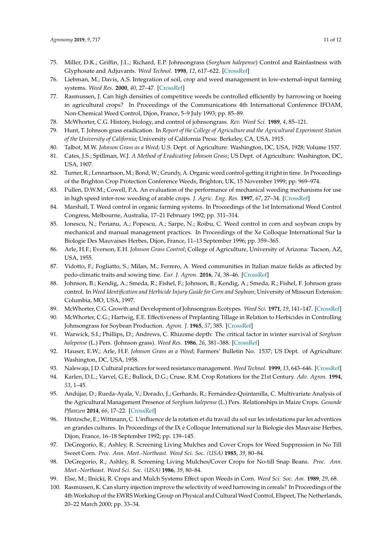- <span id="page-10-0"></span>75. Miller, D.K.; Griffin, J.L.; Richard, E.P. Johnsongrass (*Sorghum halepense*) Control and Rainfastness with Glyphosate and Adjuvants. *Weed Technol.* **1998**, *12*, 617–622. [\[CrossRef\]](http://dx.doi.org/10.1017/S0890037X00044468)
- <span id="page-10-1"></span>76. Liebman, M.; Davis, A.S. Integration of soil, crop and weed management in low-external-input farming systems. *Weed Res.* **2000**, *40*, 27–47. [\[CrossRef\]](http://dx.doi.org/10.1046/j.1365-3180.2000.00164.x)
- <span id="page-10-2"></span>77. Rasmussen, J. Can high densities of competitive weeds be controlled efficiently by harrowing or hoeing in agricultural crops? In Proceedings of the Communications 4th International Conference IFOAM, Non-Chemical Weed Control, Dijon, France, 5–9 July 1993; pp. 85–89.
- <span id="page-10-3"></span>78. McWhorter, C.G. History, biology, and control of johnsongrass. *Rev. Weed Sci.* **1989**, *4*, 85–121.
- <span id="page-10-4"></span>79. Hunt, T. Johnson grass eradication. In *Report of the College of Agriculture and the Agricultural Experiment Station of the University of California*; University of California Press: Berkeley, CA, USA, 1915.
- <span id="page-10-5"></span>80. Talbot, M.W. *Johnson Grass as a Weed*; U.S. Dept. of Agriculture: Washington, DC, USA, 1928; Volume 1537.
- <span id="page-10-6"></span>81. Cates, J.S.; Spillman, W.J. *A Method of Eradicating Johnson Grass*; US Dept. of Agriculture: Washington, DC, USA, 1907.
- <span id="page-10-7"></span>82. Turner, R.; Lennartsson, M.; Bond, W.; Grundy, A. Organic weed control-getting it right in time. In Proceedings of the Brighton Crop Protection Conference Weeds, Brighton, UK, 15 November 1999; pp. 969–974.
- <span id="page-10-8"></span>83. Pullen, D.W.M.; Cowell, P.A. An evaluation of the performance of mechanical weeding mechanisms for use in high speed inter-row weeding of arable crops. *J. Agric. Eng. Res.* **1997**, *67*, 27–34. [\[CrossRef\]](http://dx.doi.org/10.1006/jaer.1997.0148)
- <span id="page-10-9"></span>84. Marshall, T. Weed control in organic farming systems. In Proceedings of the 1st International Weed Control Congress, Melbourne, Australia, 17–21 February 1992; pp. 311–314.
- <span id="page-10-10"></span>85. Ionescu, N.; Perianu, A.; Popescu, A.; Sarpe, N.; Roibu, C. Weed control in corn and soybean crops by mechanical and manual management practices. In Proceedings of the Xe Colloque International Sur la Biologie Des Mauvaises Herbes, Dijon, France, 11–13 September 1996; pp. 359–365.
- <span id="page-10-11"></span>86. Arle, H.F.; Everson, E.H. *Johnson Grass Control*; College of Agriculture, University of Arizona: Tucson, AZ, USA, 1955.
- <span id="page-10-12"></span>87. Vidotto, F.; Fogliatto, S.; Milan, M.; Ferrero, A. Weed communities in Italian maize fields as affected by pedo-climatic traits and sowing time. *Eur. J. Agron.* **2016**, *74*, 38–46. [\[CrossRef\]](http://dx.doi.org/10.1016/j.eja.2015.11.018)
- <span id="page-10-13"></span>88. Johnson, B.; Kendig, A.; Smeda, R.; Fishel, F.; Johnson, B.; Kendig, A.; Smeda, R.; Fishel, F. Johnson grass control. In *Weed Identification and Herbicide Injury Guide for Corn and Soybean*; University of Missouri Extension: Columbia, MO, USA, 1997.
- <span id="page-10-15"></span><span id="page-10-14"></span>89. McWhorter, C.G. Growth and Development of Johnsongrass Ecotypes. *Weed Sci.* **1971**, *19*, 141–147. [\[CrossRef\]](http://dx.doi.org/10.1017/S0043174500048529)
- 90. McWhorter, C.G.; Hartwig, E.E. Effectiveness of Preplanting Tillage in Relation to Herbicides in Controlling Johnsongrass for Soybean Production. *Agron. J.* **1965**, *57*, 385. [\[CrossRef\]](http://dx.doi.org/10.2134/agronj1965.00021962005700040024x)
- <span id="page-10-16"></span>91. Warwick, S.I.; Phillips, D.; Andrews, C. Rhizome depth: The critical factor in winter survival of *Sorghum halepense* (L.) Pers. (Johnson grass). *Weed Res.* **1986**, *26*, 381–388. [\[CrossRef\]](http://dx.doi.org/10.1111/j.1365-3180.1986.tb00721.x)
- <span id="page-10-17"></span>92. Hauser, E.W.; Arle, H.F. *Johnson Grass as a Weed*; Farmers' Bulletin No. 1537; US Dept. of Agriculture: Washington, DC, USA, 1958.
- <span id="page-10-18"></span>93. Nalewaja, J.D. Cultural practices for weed resistance management. *Weed Technol.* **1999**, *13*, 643–646. [\[CrossRef\]](http://dx.doi.org/10.1017/S0890037X00046339)
- <span id="page-10-19"></span>94. Karlen, D.L.; Varvel, G.E.; Bullock, D.G.; Cruse, R.M. Crop Rotations for the 21st Century. *Adv. Agron.* **1994**, *53*, 1–45.
- <span id="page-10-20"></span>95. Andújar, D.; Rueda-Ayala, V.; Dorado, J.; Gerhards, R.; Fernández-Quintanilla, C. Multivariate Analysis of the Agricultural Management Presence of *Sorghum halepense* (L.) Pers. Relationships in Maize Crops. *Gesunde Pflanzen* **2014**, *66*, 17–22. [\[CrossRef\]](http://dx.doi.org/10.1007/s10343-013-0310-9)
- <span id="page-10-21"></span>96. Hintzsche, E.; Wittmann, C. L'influence de la rotation et du travail du sol sur les infestations par les adventices en grandes cultures. In Proceedings of the IX è Colloque International sur la Biologie des Mauvaise Herbes, Dijon, France, 16–18 September 1992; pp. 139–145.
- <span id="page-10-22"></span>97. DeGregorio, R.; Ashley, R. Screening Living Mulches and Cover Crops for Weed Suppression in No Till Sweet Corn. *Proc. Ann. Meet.-Northeast. Weed Sci. Soc. (USA)* **1985**, *39*, 80–84.
- <span id="page-10-23"></span>98. DeGregorio, R.; Ashley, R. Screening Living Mulches/Cover Crops for No-till Snap Beans. *Proc. Ann. Meet.-Northeast. Weed Sci. Soc. (USA)* **1986**, *39*, 80–84.
- <span id="page-10-24"></span>99. Else, M.; Ilnicki, R. Crops and Mulch Systems Effect upon Weeds in Corn. *Weed Sci. Soc. Am.* **1989**, *29*, 68.
- <span id="page-10-25"></span>100. Rasmussen, K. Can slurry injection improve the selectivity of weed harrowing in cereals? In Proceedings of the 4th Workshop of the EWRS Working Group on Physical and Cultural Weed Control, Elspeet, The Netherlands, 20–22 March 2000; pp. 33–34.